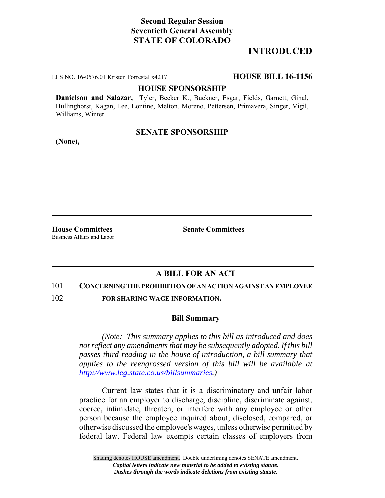# **Second Regular Session Seventieth General Assembly STATE OF COLORADO**

## **INTRODUCED**

LLS NO. 16-0576.01 Kristen Forrestal x4217 **HOUSE BILL 16-1156**

### **HOUSE SPONSORSHIP**

**Danielson and Salazar,** Tyler, Becker K., Buckner, Esgar, Fields, Garnett, Ginal, Hullinghorst, Kagan, Lee, Lontine, Melton, Moreno, Pettersen, Primavera, Singer, Vigil, Williams, Winter

### **SENATE SPONSORSHIP**

**(None),**

**House Committees Senate Committees** Business Affairs and Labor

### **A BILL FOR AN ACT**

#### 101 **CONCERNING THE PROHIBITION OF AN ACTION AGAINST AN EMPLOYEE**

102 **FOR SHARING WAGE INFORMATION.**

### **Bill Summary**

*(Note: This summary applies to this bill as introduced and does not reflect any amendments that may be subsequently adopted. If this bill passes third reading in the house of introduction, a bill summary that applies to the reengrossed version of this bill will be available at http://www.leg.state.co.us/billsummaries.)*

Current law states that it is a discriminatory and unfair labor practice for an employer to discharge, discipline, discriminate against, coerce, intimidate, threaten, or interfere with any employee or other person because the employee inquired about, disclosed, compared, or otherwise discussed the employee's wages, unless otherwise permitted by federal law. Federal law exempts certain classes of employers from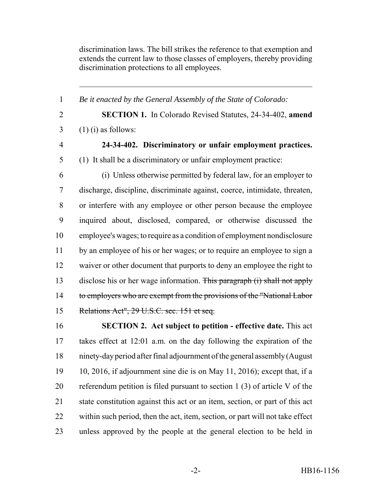discrimination laws. The bill strikes the reference to that exemption and extends the current law to those classes of employers, thereby providing discrimination protections to all employees.

 *Be it enacted by the General Assembly of the State of Colorado:* **SECTION 1.** In Colorado Revised Statutes, 24-34-402, **amend**  $3 \quad (1)$  (i) as follows: **24-34-402. Discriminatory or unfair employment practices.** (1) It shall be a discriminatory or unfair employment practice: (i) Unless otherwise permitted by federal law, for an employer to discharge, discipline, discriminate against, coerce, intimidate, threaten, or interfere with any employee or other person because the employee inquired about, disclosed, compared, or otherwise discussed the employee's wages; to require as a condition of employment nondisclosure by an employee of his or her wages; or to require an employee to sign a waiver or other document that purports to deny an employee the right to 13 disclose his or her wage information. This paragraph (i) shall not apply 14 to employers who are exempt from the provisions of the "National Labor" Relations Act", 29 U.S.C. sec. 151 et seq. **SECTION 2. Act subject to petition - effective date.** This act

 takes effect at 12:01 a.m. on the day following the expiration of the ninety-day period after final adjournment of the general assembly (August 10, 2016, if adjournment sine die is on May 11, 2016); except that, if a referendum petition is filed pursuant to section 1 (3) of article V of the state constitution against this act or an item, section, or part of this act within such period, then the act, item, section, or part will not take effect unless approved by the people at the general election to be held in